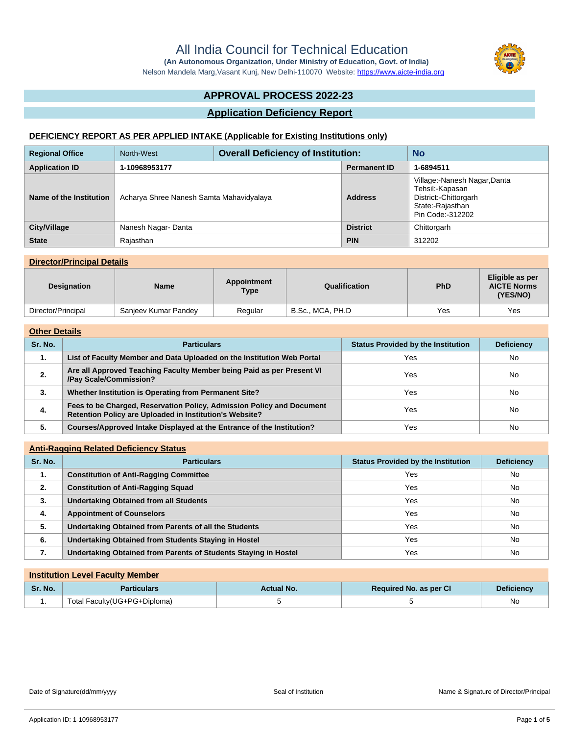**(An Autonomous Organization, Under Ministry of Education, Govt. of India)** Nelson Mandela Marg,Vasant Kunj, New Delhi-110070 Website:<https://www.aicte-india.org>

# **APPROVAL PROCESS 2022-23**

## **Application Deficiency Report**

## **DEFICIENCY REPORT AS PER APPLIED INTAKE (Applicable for Existing Institutions only)**

| <b>Regional Office</b>  | North-West                               | <b>Overall Deficiency of Institution:</b> |                     | <b>No</b>                                                                                                        |  |
|-------------------------|------------------------------------------|-------------------------------------------|---------------------|------------------------------------------------------------------------------------------------------------------|--|
| <b>Application ID</b>   | 1-10968953177                            |                                           | <b>Permanent ID</b> | 1-6894511                                                                                                        |  |
| Name of the Institution | Acharya Shree Nanesh Samta Mahavidyalaya |                                           | <b>Address</b>      | Village:-Nanesh Nagar, Danta<br>Tehsil:-Kapasan<br>District:-Chittorgarh<br>State:-Rajasthan<br>Pin Code:-312202 |  |
| City/Village            | Nanesh Nagar-Danta                       |                                           | <b>District</b>     | Chittorgarh                                                                                                      |  |
| <b>State</b>            | Rajasthan                                |                                           | <b>PIN</b>          | 312202                                                                                                           |  |

## **Director/Principal Details**

| <b>Designation</b> | <b>Name</b>          | Appointment<br>Type | Qualification    | <b>PhD</b> | Eligible as per<br><b>AICTE Norms</b><br>(YES/NO) |
|--------------------|----------------------|---------------------|------------------|------------|---------------------------------------------------|
| Director/Principal | Sanjeev Kumar Pandey | Regular             | B.Sc., MCA, PH.D | Yes        | Yes                                               |

## **Other Details**

| Sr. No. | <b>Particulars</b>                                                                                                               | <b>Status Provided by the Institution</b> | <b>Deficiency</b> |  |
|---------|----------------------------------------------------------------------------------------------------------------------------------|-------------------------------------------|-------------------|--|
| 1.      | List of Faculty Member and Data Uploaded on the Institution Web Portal                                                           | Yes                                       | <b>No</b>         |  |
| 2.      | Are all Approved Teaching Faculty Member being Paid as per Present VI<br>/Pay Scale/Commission?                                  | Yes                                       | <b>No</b>         |  |
| 3.      | Whether Institution is Operating from Permanent Site?                                                                            | Yes                                       | <b>No</b>         |  |
| 4.      | Fees to be Charged, Reservation Policy, Admission Policy and Document<br>Retention Policy are Uploaded in Institution's Website? | Yes                                       | <b>No</b>         |  |
| 5.      | Courses/Approved Intake Displayed at the Entrance of the Institution?                                                            | Yes                                       | No                |  |

| <b>Anti-Ragging Related Deficiency Status</b> |                                                                                      |     |           |  |  |
|-----------------------------------------------|--------------------------------------------------------------------------------------|-----|-----------|--|--|
| Sr. No.                                       | <b>Deficiency</b><br><b>Status Provided by the Institution</b><br><b>Particulars</b> |     |           |  |  |
| 1.                                            | <b>Constitution of Anti-Ragging Committee</b>                                        | Yes | No        |  |  |
| 2.                                            | <b>Constitution of Anti-Ragging Squad</b>                                            | Yes | <b>No</b> |  |  |
| 3.                                            | <b>Undertaking Obtained from all Students</b>                                        | Yes | No        |  |  |
| 4.                                            | <b>Appointment of Counselors</b>                                                     | Yes | No        |  |  |
| 5.                                            | Undertaking Obtained from Parents of all the Students                                | Yes | <b>No</b> |  |  |
| 6.                                            | Undertaking Obtained from Students Staying in Hostel                                 | Yes | No        |  |  |
| 7.                                            | Undertaking Obtained from Parents of Students Staying in Hostel                      | Yes | No        |  |  |

| <b>Institution Level Faculty Member</b> |                              |                   |                        |                   |
|-----------------------------------------|------------------------------|-------------------|------------------------|-------------------|
| Sr. No.                                 | <b>Particulars</b>           | <b>Actual No.</b> | Required No. as per CI | <b>Deficiency</b> |
|                                         | Total Faculty(UG+PG+Diploma) |                   |                        | No                |



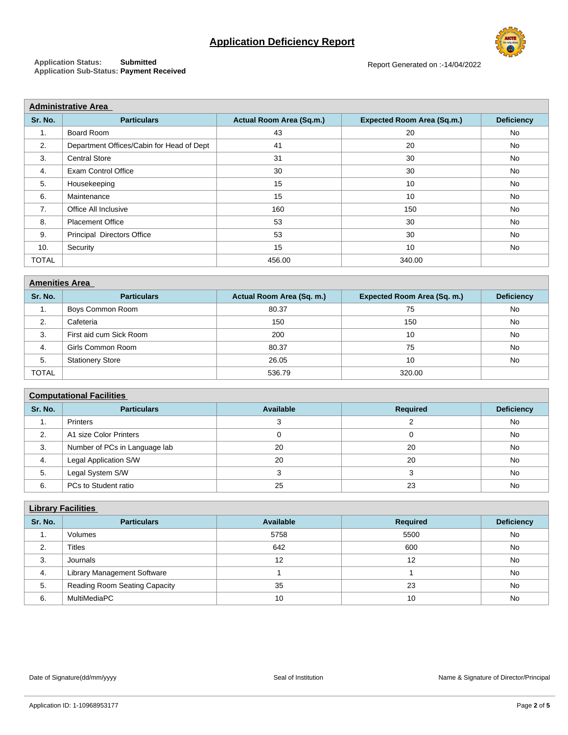# **Application Deficiency Report**



**Application Status: Submitted Application Sub-Status: Payment Received**

Report Generated on :-14/04/2022

| <b>Administrative Area</b>                |                          |                                   |                   |  |  |
|-------------------------------------------|--------------------------|-----------------------------------|-------------------|--|--|
| <b>Particulars</b>                        | Actual Room Area (Sq.m.) | <b>Expected Room Area (Sq.m.)</b> | <b>Deficiency</b> |  |  |
| Board Room                                | 43                       | 20                                | No                |  |  |
| Department Offices/Cabin for Head of Dept | 41                       | 20                                | No                |  |  |
| <b>Central Store</b>                      | 31                       | 30                                | No                |  |  |
| <b>Exam Control Office</b>                | 30                       | 30                                | <b>No</b>         |  |  |
| Housekeeping                              | 15                       | 10                                | <b>No</b>         |  |  |
| Maintenance                               | 15                       | 10                                | No                |  |  |
| Office All Inclusive                      | 160                      | 150                               | No                |  |  |
| <b>Placement Office</b>                   | 53                       | 30                                | No                |  |  |
| <b>Principal Directors Office</b>         | 53                       | 30                                | No                |  |  |
| Security                                  | 15                       | 10                                | No                |  |  |
|                                           | 456.00                   | 340.00                            |                   |  |  |
|                                           |                          |                                   |                   |  |  |

| <b>Amenities Area</b> |                         |                           |                             |                   |  |
|-----------------------|-------------------------|---------------------------|-----------------------------|-------------------|--|
| Sr. No.               | <b>Particulars</b>      | Actual Room Area (Sq. m.) | Expected Room Area (Sq. m.) | <b>Deficiency</b> |  |
| ٠.                    | Boys Common Room        | 80.37                     | 75                          | No                |  |
| 2.                    | Cafeteria               | 150                       | 150                         | No                |  |
| 3.                    | First aid cum Sick Room | 200                       | 10                          | No                |  |
| 4.                    | Girls Common Room       | 80.37                     | 75                          | No                |  |
| 5.                    | <b>Stationery Store</b> | 26.05                     | 10                          | No                |  |
| <b>TOTAL</b>          |                         | 536.79                    | 320.00                      |                   |  |

# **Computational Facilities**

| Sr. No. | <b>Particulars</b>            | Available | <b>Required</b> | <b>Deficiency</b> |  |
|---------|-------------------------------|-----------|-----------------|-------------------|--|
| . .     | Printers                      |           |                 | No                |  |
| 2.      | A1 size Color Printers        |           |                 | No                |  |
| 3.      | Number of PCs in Language lab | 20        | 20              | No                |  |
| 4.      | Legal Application S/W         | 20        | 20              | No                |  |
| 5.      | Legal System S/W              |           |                 | No                |  |
| 6.      | PCs to Student ratio          | 25        | 23              | No                |  |

| <b>Library Facilities</b> |                               |           |                 |                   |  |
|---------------------------|-------------------------------|-----------|-----------------|-------------------|--|
| Sr. No.                   | <b>Particulars</b>            | Available | <b>Required</b> | <b>Deficiency</b> |  |
| 1.                        | Volumes                       | 5758      | 5500            | No                |  |
| 2.                        | <b>Titles</b>                 | 642       | 600             | No                |  |
| 3.                        | Journals                      | 12        | 12              | No                |  |
| 4.                        | Library Management Software   |           |                 | No                |  |
| 5.                        | Reading Room Seating Capacity | 35        | 23              | No                |  |
| 6.                        | MultiMediaPC                  | 10        | 10              | <b>No</b>         |  |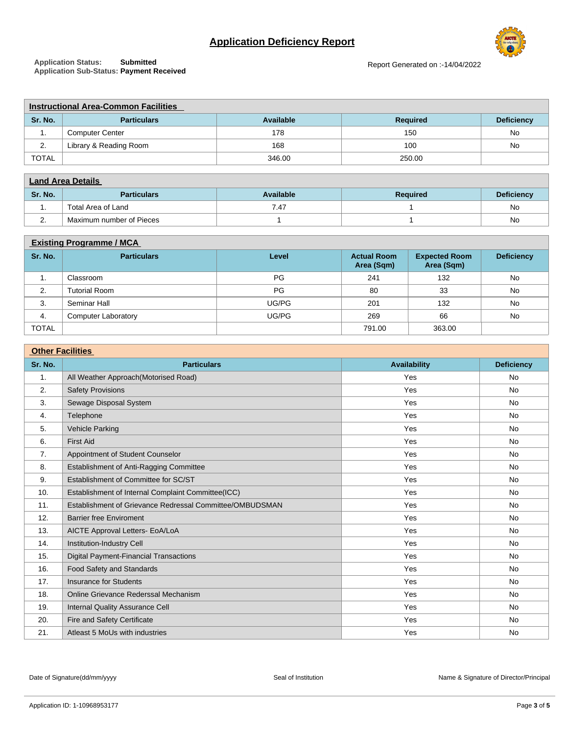# **Application Deficiency Report**



**Application Status: Submitted Application Sub-Status: Payment Received** Report Generated on :-14/04/2022

| <b>Instructional Area-Common Facilities</b> |                        |           |                 |                   |  |
|---------------------------------------------|------------------------|-----------|-----------------|-------------------|--|
| Sr. No.                                     | <b>Particulars</b>     | Available | <b>Required</b> | <b>Deficiency</b> |  |
| . .                                         | <b>Computer Center</b> | 178       | 150             | No                |  |
| ۷.                                          | Library & Reading Room | 168       | 100             | No                |  |
| <b>TOTAL</b>                                |                        | 346.00    | 250.00          |                   |  |

| <b>Land Area Details</b> |                          |           |                 |                   |
|--------------------------|--------------------------|-----------|-----------------|-------------------|
| Sr. No.                  | <b>Particulars</b>       | Available | <b>Required</b> | <b>Deficiency</b> |
| . .                      | Total Area of Land       | 7.47      |                 | No                |
| <u>.</u>                 | Maximum number of Pieces |           |                 | No                |

#### **Existing Programme / MCA**

| Sr. No.      | <b>Particulars</b>         | Level | <b>Actual Room</b><br>Area (Sqm) | <b>Expected Room</b><br>Area (Sqm) | <b>Deficiency</b> |  |
|--------------|----------------------------|-------|----------------------------------|------------------------------------|-------------------|--|
| . .          | Classroom                  | PG    | 241                              | 132                                | No                |  |
| 2.           | <b>Tutorial Room</b>       | PG    | 80                               | 33                                 | <b>No</b>         |  |
| 3.           | Seminar Hall               | UG/PG | 201                              | 132                                | No                |  |
| -4.          | <b>Computer Laboratory</b> | UG/PG | 269                              | 66                                 | <b>No</b>         |  |
| <b>TOTAL</b> |                            |       | 791.00                           | 363.00                             |                   |  |

| <b>Other Facilities</b> |                                                          |              |                   |  |
|-------------------------|----------------------------------------------------------|--------------|-------------------|--|
| Sr. No.                 | <b>Particulars</b>                                       | Availability | <b>Deficiency</b> |  |
| 1.                      | All Weather Approach(Motorised Road)                     | Yes          | No                |  |
| 2.                      | <b>Safety Provisions</b>                                 | Yes          | No                |  |
| 3.                      | Sewage Disposal System                                   | Yes          | No                |  |
| 4.                      | Telephone                                                | Yes          | No                |  |
| 5.                      | Vehicle Parking                                          | Yes          | No                |  |
| 6.                      | <b>First Aid</b>                                         | Yes          | No                |  |
| 7.                      | Appointment of Student Counselor                         | Yes          | No                |  |
| 8.                      | Establishment of Anti-Ragging Committee                  | Yes          | No                |  |
| 9.                      | Establishment of Committee for SC/ST                     | Yes          | No                |  |
| 10.                     | Establishment of Internal Complaint Committee(ICC)       | Yes          | <b>No</b>         |  |
| 11.                     | Establishment of Grievance Redressal Committee/OMBUDSMAN | Yes          | No                |  |
| 12.                     | <b>Barrier free Enviroment</b>                           | Yes          | No                |  |
| 13.                     | AICTE Approval Letters- EoA/LoA                          | Yes          | No                |  |
| 14.                     | Institution-Industry Cell                                | Yes          | No                |  |
| 15.                     | <b>Digital Payment-Financial Transactions</b>            | Yes          | No                |  |
| 16.                     | Food Safety and Standards                                | Yes          | No                |  |
| 17.                     | <b>Insurance for Students</b>                            | Yes          | No                |  |
| 18.                     | Online Grievance Rederssal Mechanism                     | Yes          | No                |  |
| 19.                     | Internal Quality Assurance Cell                          | Yes          | No                |  |
| 20.                     | Fire and Safety Certificate                              | Yes          | No                |  |
| 21.                     | Atleast 5 MoUs with industries                           | Yes          | No                |  |

Date of Signature(dd/mm/yyyy exercise and the Seal of Institution Name & Signature of Director/Principal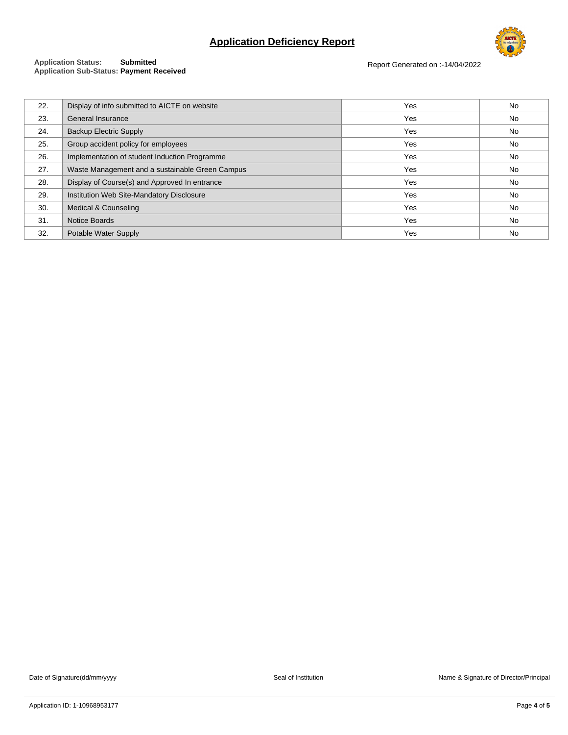# **Application Deficiency Report**



#### **Application Status: Submitted Application Sub-Status: Payment Received**

Report Generated on :-14/04/2022

| 22. | Display of info submitted to AICTE on website   | Yes | No        |
|-----|-------------------------------------------------|-----|-----------|
| 23. | General Insurance                               | Yes | <b>No</b> |
| 24. | <b>Backup Electric Supply</b>                   | Yes | No        |
| 25. | Group accident policy for employees             | Yes | No        |
| 26. | Implementation of student Induction Programme   | Yes | <b>No</b> |
| 27. | Waste Management and a sustainable Green Campus | Yes | No        |
| 28. | Display of Course(s) and Approved In entrance   | Yes | No        |
| 29. | Institution Web Site-Mandatory Disclosure       | Yes | No        |
| 30. | Medical & Counseling                            | Yes | <b>No</b> |
| 31. | <b>Notice Boards</b>                            | Yes | <b>No</b> |
| 32. | Potable Water Supply                            | Yes | No        |